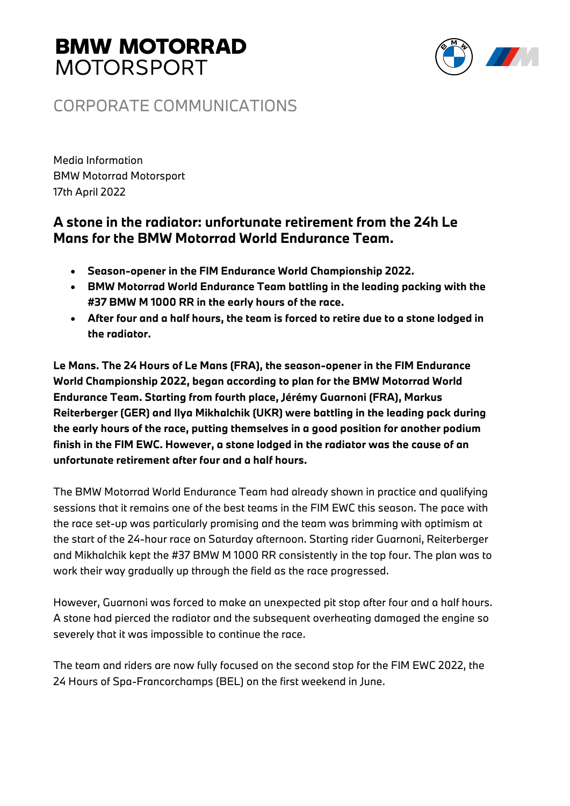# **BMW MOTORRAD MOTORSPORT**



### CORPORATE COMMUNICATIONS

Media Information BMW Motorrad Motorsport 17th April 2022

### **A stone in the radiator: unfortunate retirement from the 24h Le Mans for the BMW Motorrad World Endurance Team.**

- **Season-opener in the FIM Endurance World Championship 2022.**
- **BMW Motorrad World Endurance Team battling in the leading packing with the #37 BMW M 1000 RR in the early hours of the race.**
- **After four and a half hours, the team is forced to retire due to a stone lodged in the radiator.**

**Le Mans. The 24 Hours of Le Mans (FRA), the season-opener in the FIM Endurance World Championship 2022, began according to plan for the BMW Motorrad World Endurance Team. Starting from fourth place, Jérémy Guarnoni (FRA), Markus Reiterberger (GER) and Ilya Mikhalchik (UKR) were battling in the leading pack during the early hours of the race, putting themselves in a good position for another podium finish in the FIM EWC. However, a stone lodged in the radiator was the cause of an unfortunate retirement after four and a half hours.**

The BMW Motorrad World Endurance Team had already shown in practice and qualifying sessions that it remains one of the best teams in the FIM EWC this season. The pace with the race set-up was particularly promising and the team was brimming with optimism at the start of the 24-hour race on Saturday afternoon. Starting rider Guarnoni, Reiterberger and Mikhalchik kept the #37 BMW M 1000 RR consistently in the top four. The plan was to work their way gradually up through the field as the race progressed.

However, Guarnoni was forced to make an unexpected pit stop after four and a half hours. A stone had pierced the radiator and the subsequent overheating damaged the engine so severely that it was impossible to continue the race.

The team and riders are now fully focused on the second stop for the FIM EWC 2022, the 24 Hours of Spa-Francorchamps (BEL) on the first weekend in June.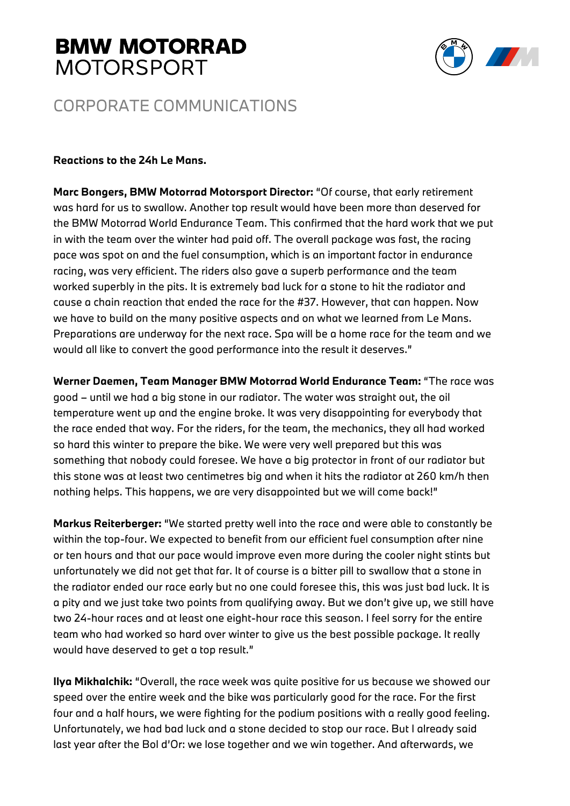## **BMW MOTORRAD MOTORSPORT**



### CORPORATE COMMUNICATIONS

#### **Reactions to the 24h Le Mans.**

**Marc Bongers, BMW Motorrad Motorsport Director:** "Of course, that early retirement was hard for us to swallow. Another top result would have been more than deserved for the BMW Motorrad World Endurance Team. This confirmed that the hard work that we put in with the team over the winter had paid off. The overall package was fast, the racing pace was spot on and the fuel consumption, which is an important factor in endurance racing, was very efficient. The riders also gave a superb performance and the team worked superbly in the pits. It is extremely bad luck for a stone to hit the radiator and cause a chain reaction that ended the race for the #37. However, that can happen. Now we have to build on the many positive aspects and on what we learned from Le Mans. Preparations are underway for the next race. Spa will be a home race for the team and we would all like to convert the good performance into the result it deserves."

**Werner Daemen, Team Manager BMW Motorrad World Endurance Team:** "The race was good – until we had a big stone in our radiator. The water was straight out, the oil temperature went up and the engine broke. It was very disappointing for everybody that the race ended that way. For the riders, for the team, the mechanics, they all had worked so hard this winter to prepare the bike. We were very well prepared but this was something that nobody could foresee. We have a big protector in front of our radiator but this stone was at least two centimetres big and when it hits the radiator at 260 km/h then nothing helps. This happens, we are very disappointed but we will come back!"

**Markus Reiterberger:** "We started pretty well into the race and were able to constantly be within the top-four. We expected to benefit from our efficient fuel consumption after nine or ten hours and that our pace would improve even more during the cooler night stints but unfortunately we did not get that far. It of course is a bitter pill to swallow that a stone in the radiator ended our race early but no one could foresee this, this was just bad luck. It is a pity and we just take two points from qualifying away. But we don't give up, we still have two 24-hour races and at least one eight-hour race this season. I feel sorry for the entire team who had worked so hard over winter to give us the best possible package. It really would have deserved to get a top result."

**Ilya Mikhalchik:** "Overall, the race week was quite positive for us because we showed our speed over the entire week and the bike was particularly good for the race. For the first four and a half hours, we were fighting for the podium positions with a really good feeling. Unfortunately, we had bad luck and a stone decided to stop our race. But I already said last year after the Bol d'Or: we lose together and we win together. And afterwards, we